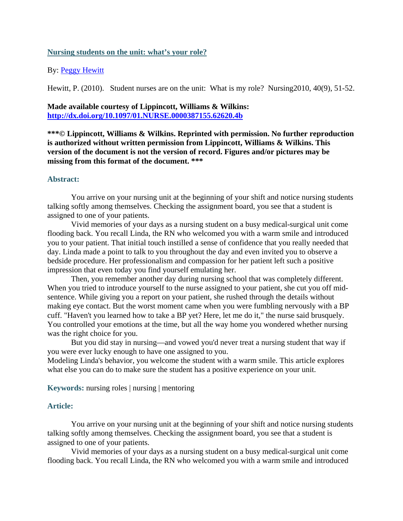### **Nursing students on the unit: what's your role?**

# By: Peggy Hewitt

Hewitt, P. (2010). Student nurses are on the unit: What is my role? Nursing2010, 40(9), 51-52.

# **Made available courtesy of Lippincott, Williams & Wilkins: http://dx.doi.org/10.1097/01.NURSE.0000387155.62620.4b**

**\*\*\*© Lippincott, Williams & Wilkins. Reprinted with permission. No further reproduction is authorized without written permission from Lippincott, Williams & Wilkins. This version of the document is not the version of record. Figures and/or pictures may be missing from this format of the document. \*\*\*** 

### **Abstract:**

You arrive on your nursing unit at the beginning of your shift and notice nursing students talking softly among themselves. Checking the assignment board, you see that a student is assigned to one of your patients.

 Vivid memories of your days as a nursing student on a busy medical-surgical unit come flooding back. You recall Linda, the RN who welcomed you with a warm smile and introduced you to your patient. That initial touch instilled a sense of confidence that you really needed that day. Linda made a point to talk to you throughout the day and even invited you to observe a bedside procedure. Her professionalism and compassion for her patient left such a positive impression that even today you find yourself emulating her.

Then, you remember another day during nursing school that was completely different. When you tried to introduce yourself to the nurse assigned to your patient, she cut you off midsentence. While giving you a report on your patient, she rushed through the details without making eye contact. But the worst moment came when you were fumbling nervously with a BP cuff. "Haven't you learned how to take a BP yet? Here, let me do it," the nurse said brusquely. You controlled your emotions at the time, but all the way home you wondered whether nursing was the right choice for you.

But you did stay in nursing—and vowed you'd never treat a nursing student that way if you were ever lucky enough to have one assigned to you.

Modeling Linda's behavior, you welcome the student with a warm smile. This article explores what else you can do to make sure the student has a positive experience on your unit.

**Keywords:** nursing roles | nursing | mentoring

# **Article:**

You arrive on your nursing unit at the beginning of your shift and notice nursing students talking softly among themselves. Checking the assignment board, you see that a student is assigned to one of your patients.

 Vivid memories of your days as a nursing student on a busy medical-surgical unit come flooding back. You recall Linda, the RN who welcomed you with a warm smile and introduced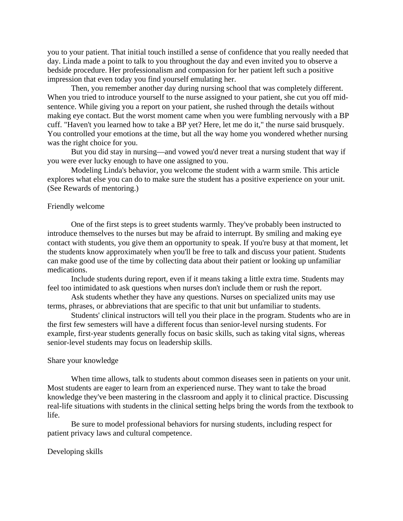you to your patient. That initial touch instilled a sense of confidence that you really needed that day. Linda made a point to talk to you throughout the day and even invited you to observe a bedside procedure. Her professionalism and compassion for her patient left such a positive impression that even today you find yourself emulating her.

Then, you remember another day during nursing school that was completely different. When you tried to introduce yourself to the nurse assigned to your patient, she cut you off midsentence. While giving you a report on your patient, she rushed through the details without making eye contact. But the worst moment came when you were fumbling nervously with a BP cuff. "Haven't you learned how to take a BP yet? Here, let me do it," the nurse said brusquely. You controlled your emotions at the time, but all the way home you wondered whether nursing was the right choice for you.

But you did stay in nursing—and vowed you'd never treat a nursing student that way if you were ever lucky enough to have one assigned to you.

Modeling Linda's behavior, you welcome the student with a warm smile. This article explores what else you can do to make sure the student has a positive experience on your unit. (See Rewards of mentoring.)

#### Friendly welcome

One of the first steps is to greet students warmly. They've probably been instructed to introduce themselves to the nurses but may be afraid to interrupt. By smiling and making eye contact with students, you give them an opportunity to speak. If you're busy at that moment, let the students know approximately when you'll be free to talk and discuss your patient. Students can make good use of the time by collecting data about their patient or looking up unfamiliar medications.

Include students during report, even if it means taking a little extra time. Students may feel too intimidated to ask questions when nurses don't include them or rush the report.

Ask students whether they have any questions. Nurses on specialized units may use terms, phrases, or abbreviations that are specific to that unit but unfamiliar to students.

Students' clinical instructors will tell you their place in the program. Students who are in the first few semesters will have a different focus than senior-level nursing students. For example, first-year students generally focus on basic skills, such as taking vital signs, whereas senior-level students may focus on leadership skills.

#### Share your knowledge

When time allows, talk to students about common diseases seen in patients on your unit. Most students are eager to learn from an experienced nurse. They want to take the broad knowledge they've been mastering in the classroom and apply it to clinical practice. Discussing real-life situations with students in the clinical setting helps bring the words from the textbook to life.

Be sure to model professional behaviors for nursing students, including respect for patient privacy laws and cultural competence.

#### Developing skills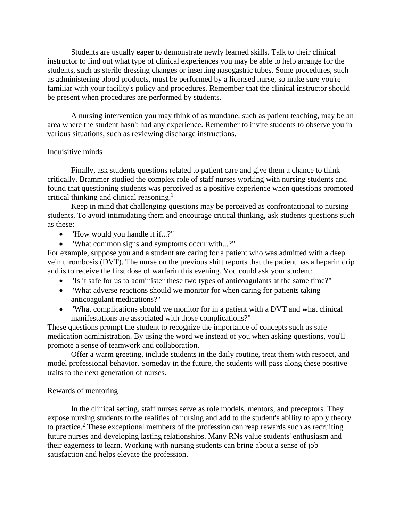Students are usually eager to demonstrate newly learned skills. Talk to their clinical instructor to find out what type of clinical experiences you may be able to help arrange for the students, such as sterile dressing changes or inserting nasogastric tubes. Some procedures, such as administering blood products, must be performed by a licensed nurse, so make sure you're familiar with your facility's policy and procedures. Remember that the clinical instructor should be present when procedures are performed by students.

A nursing intervention you may think of as mundane, such as patient teaching, may be an area where the student hasn't had any experience. Remember to invite students to observe you in various situations, such as reviewing discharge instructions.

# Inquisitive minds

Finally, ask students questions related to patient care and give them a chance to think critically. Brammer studied the complex role of staff nurses working with nursing students and found that questioning students was perceived as a positive experience when questions promoted critical thinking and clinical reasoning.<sup>1</sup>

Keep in mind that challenging questions may be perceived as confrontational to nursing students. To avoid intimidating them and encourage critical thinking, ask students questions such as these:

- "How would you handle it if...?"
- "What common signs and symptoms occur with...?"

For example, suppose you and a student are caring for a patient who was admitted with a deep vein thrombosis (DVT). The nurse on the previous shift reports that the patient has a heparin drip and is to receive the first dose of warfarin this evening. You could ask your student:

- "Is it safe for us to administer these two types of anticoagulants at the same time?"
- "What adverse reactions should we monitor for when caring for patients taking anticoagulant medications?"
- "What complications should we monitor for in a patient with a DVT and what clinical manifestations are associated with those complications?"

These questions prompt the student to recognize the importance of concepts such as safe medication administration. By using the word we instead of you when asking questions, you'll promote a sense of teamwork and collaboration.

Offer a warm greeting, include students in the daily routine, treat them with respect, and model professional behavior. Someday in the future, the students will pass along these positive traits to the next generation of nurses.

# Rewards of mentoring

In the clinical setting, staff nurses serve as role models, mentors, and preceptors. They expose nursing students to the realities of nursing and add to the student's ability to apply theory to practice.<sup>2</sup> These exceptional members of the profession can reap rewards such as recruiting future nurses and developing lasting relationships. Many RNs value students' enthusiasm and their eagerness to learn. Working with nursing students can bring about a sense of job satisfaction and helps elevate the profession.